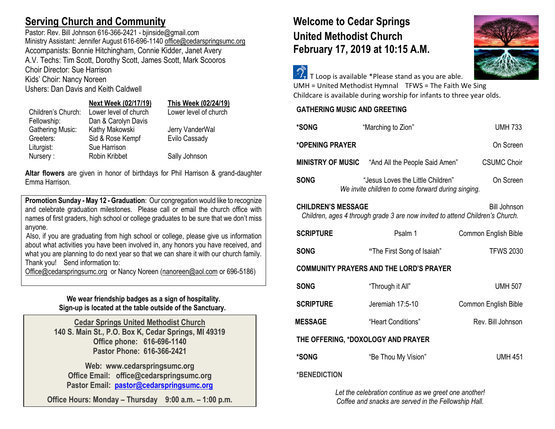# **Serving Church and Community**

Pastor: Rev. Bill Johnson 616-366-2421 - bjinside@gmail.com Ministry Assistant: Jennifer August 616-696-1140 [office@cedarspringsumc.org](mailto:office@cedarspringsumc.org) Accompanists: Bonnie Hitchingham, Connie Kidder, Janet Avery A.V. Techs: Tim Scott, Dorothy Scott, James Scott, Mark Scooros Choir Director: Sue Harrison Kids' Choir: Nancy Noreen

Ushers: Dan Davis and Keith Caldwell

### **Next Week (02/17/19) This Week (02/24/19)**

|                    | $\cdots$              | $$ $$ $$ $$ $$ $$ $$ $$ |
|--------------------|-----------------------|-------------------------|
| Children's Church: | Lower level of church | Lower level of church   |
| Fellowship:        | Dan & Carolyn Davis   |                         |
| Gathering Music:   | Kathy Makowski        | Jerry VanderWal         |
| Greeters:          | Sid & Rose Kempf      | Evilo Cassady           |
| Liturgist:         | Sue Harrison          |                         |
| Nursery:           | Robin Kribbet         | Sally Johnson           |

**Altar flowers** are given in honor of birthdays for Phil Harrison & grand-daughter Emma Harrison.

**Promotion Sunday - May 12 - Graduation: Our congregation would like to recognize** and celebrate graduation milestones. Please call or email the church office with names of first graders, high school or college graduates to be sure that we don't miss anyone.

Also, if you are graduating from high school or college, please give us information about what activities you have been involved in, any honors you have received, and what you are planning to do next year so that we can share it with our church family. Thank you! Send information to:

[Office@cedarspringsumc.org](mailto:Office@cedarspringsumc.org) or Nancy Noreen [\(nanoreen@aol.com](mailto:nanoreen@aol.com) or 696-5186)

## **We wear friendship badges as a sign of hospitality. Sign-up is located at the table outside of the Sanctuary.**

**Cedar Springs United Methodist Church 140 S. Main St., P.O. Box K, Cedar Springs, MI 49319 Office phone: 616-696-1140 Pastor Phone: 616-366-2421**

**Web: www.cedarspringsumc.org Office Email: office@cedarspringsumc.org Pastor Email: [pastor@cedarspringsumc.org](mailto:pastor@cedarspringsumc.org)**

**Office Hours: Monday – Thursday 9:00 a.m. – 1:00 p.m.**

# **Welcome to Cedar Springs United Methodist Church February 17, 2019 at 10:15 A.M.**



 $\widehat{\mathcal{D}_{\tau}}$  T Loop is available \*Please stand as you are able. UMH = United Methodist Hymnal TFWS = The Faith We Sing

Childcare is available during worship for infants to three year olds.

### **GATHERING MUSIC AND GREETING**

| *SONG                                                                                                                      |  | "Marching to Zion"                                                                      |  | <b>UMH 733</b>       |
|----------------------------------------------------------------------------------------------------------------------------|--|-----------------------------------------------------------------------------------------|--|----------------------|
| *OPENING PRAYER                                                                                                            |  |                                                                                         |  | On Screen            |
|                                                                                                                            |  | <b>MINISTRY OF MUSIC</b> "And All the People Said Amen"                                 |  | <b>CSUMC Choir</b>   |
| <b>SONG</b>                                                                                                                |  | "Jesus Loves the Little Children"<br>We invite children to come forward during singing. |  | On Screen            |
| <b>CHILDREN'S MESSAGE</b><br>Bill Johnson<br>Children, ages 4 through grade 3 are now invited to attend Children's Church. |  |                                                                                         |  |                      |
| <b>SCRIPTURE</b>                                                                                                           |  | Psalm 1                                                                                 |  | Common English Bible |
| <b>SONG</b>                                                                                                                |  | "The First Song of Isaiah"                                                              |  | <b>TFWS 2030</b>     |
| <b>COMMUNITY PRAYERS AND THE LORD'S PRAYER</b>                                                                             |  |                                                                                         |  |                      |
| <b>SONG</b>                                                                                                                |  | "Through it All"                                                                        |  | <b>UMH 507</b>       |
| <b>SCRIPTURE</b>                                                                                                           |  | Jeremiah 17:5-10                                                                        |  | Common English Bible |
| <b>MESSAGE</b>                                                                                                             |  | "Heart Conditions"                                                                      |  | Rev. Bill Johnson    |
| THE OFFERING, *DOXOLOGY AND PRAYER                                                                                         |  |                                                                                         |  |                      |
| *SONG                                                                                                                      |  | "Be Thou My Vision"                                                                     |  | <b>UMH 451</b>       |
| <b>*DENENIATION</b>                                                                                                        |  |                                                                                         |  |                      |

**\*BENEDICTION**

*Let the celebration continue as we greet one another! Coffee and snacks are served in the Fellowship Hall.*